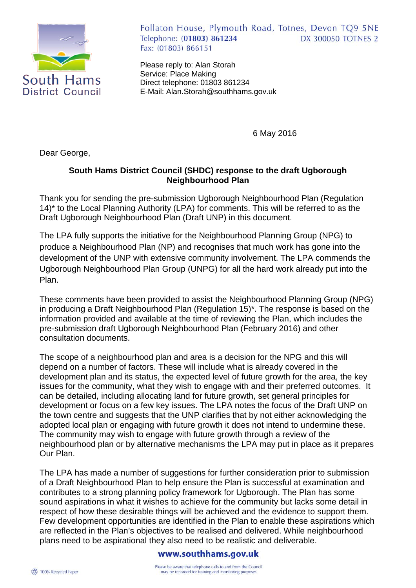

Follaton House, Plymouth Road, Totnes, Devon TQ9 5NE Telephone: (01803) 861234 **DX 300050 TOTNES 2** Fax: (01803) 866151

Please reply to: Alan Storah Service: Place Making Direct telephone: 01803 861234 E-Mail: Alan.Storah@southhams.gov.uk

6 May 2016

Dear George,

## **South Hams District Council (SHDC) response to the draft Ugborough Neighbourhood Plan**

Thank you for sending the pre-submission Ugborough Neighbourhood Plan (Regulation 14)\* to the Local Planning Authority (LPA) for comments. This will be referred to as the Draft Ugborough Neighbourhood Plan (Draft UNP) in this document.

The LPA fully supports the initiative for the Neighbourhood Planning Group (NPG) to produce a Neighbourhood Plan (NP) and recognises that much work has gone into the development of the UNP with extensive community involvement. The LPA commends the Ugborough Neighbourhood Plan Group (UNPG) for all the hard work already put into the Plan.

These comments have been provided to assist the Neighbourhood Planning Group (NPG) in producing a Draft Neighbourhood Plan (Regulation 15)\*. The response is based on the information provided and available at the time of reviewing the Plan, which includes the pre-submission draft Ugborough Neighbourhood Plan (February 2016) and other consultation documents.

The scope of a neighbourhood plan and area is a decision for the NPG and this will depend on a number of factors. These will include what is already covered in the development plan and its status, the expected level of future growth for the area, the key issues for the community, what they wish to engage with and their preferred outcomes. It can be detailed, including allocating land for future growth, set general principles for development or focus on a few key issues. The LPA notes the focus of the Draft UNP on the town centre and suggests that the UNP clarifies that by not either acknowledging the adopted local plan or engaging with future growth it does not intend to undermine these. The community may wish to engage with future growth through a review of the neighbourhood plan or by alternative mechanisms the LPA may put in place as it prepares Our Plan.

The LPA has made a number of suggestions for further consideration prior to submission of a Draft Neighbourhood Plan to help ensure the Plan is successful at examination and contributes to a strong planning policy framework for Ugborough. The Plan has some sound aspirations in what it wishes to achieve for the community but lacks some detail in respect of how these desirable things will be achieved and the evidence to support them. Few development opportunities are identified in the Plan to enable these aspirations which are reflected in the Plan's objectives to be realised and delivered. While neighbourhood plans need to be aspirational they also need to be realistic and deliverable.

## www.southhams.gov.uk